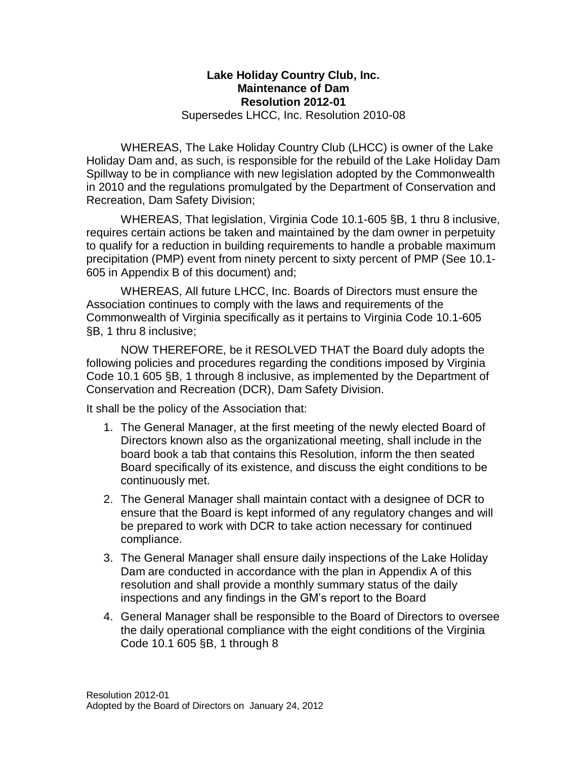## **Lake Holiday Country Club, Inc. Maintenance of Dam Resolution 2012-01**

Supersedes LHCC, Inc. Resolution 2010-08

WHEREAS, The Lake Holiday Country Club (LHCC) is owner of the Lake Holiday Dam and, as such, is responsible for the rebuild of the Lake Holiday Dam Spillway to be in compliance with new legislation adopted by the Commonwealth in 2010 and the regulations promulgated by the Department of Conservation and Recreation, Dam Safety Division;

WHEREAS, That legislation, Virginia Code 10.1-605 §B, 1 thru 8 inclusive, requires certain actions be taken and maintained by the dam owner in perpetuity to qualify for a reduction in building requirements to handle a probable maximum precipitation (PMP) event from ninety percent to sixty percent of PMP (See 10.1- 605 in Appendix B of this document) and;

WHEREAS, All future LHCC, Inc. Boards of Directors must ensure the Association continues to comply with the laws and requirements of the Commonwealth of Virginia specifically as it pertains to Virginia Code 10.1-605 §B, 1 thru 8 inclusive;

NOW THEREFORE, be it RESOLVED THAT the Board duly adopts the following policies and procedures regarding the conditions imposed by Virginia Code 10.1 605 §B, 1 through 8 inclusive, as implemented by the Department of Conservation and Recreation (DCR), Dam Safety Division.

It shall be the policy of the Association that:

- 1. The General Manager, at the first meeting of the newly elected Board of Directors known also as the organizational meeting, shall include in the board book a tab that contains this Resolution, inform the then seated Board specifically of its existence, and discuss the eight conditions to be continuously met.
- 2. The General Manager shall maintain contact with a designee of DCR to ensure that the Board is kept informed of any regulatory changes and will be prepared to work with DCR to take action necessary for continued compliance.
- 3. The General Manager shall ensure daily inspections of the Lake Holiday Dam are conducted in accordance with the plan in Appendix A of this resolution and shall provide a monthly summary status of the daily inspections and any findings in the GM's report to the Board
- 4. General Manager shall be responsible to the Board of Directors to oversee the daily operational compliance with the eight conditions of the Virginia Code 10.1 605 §B, 1 through 8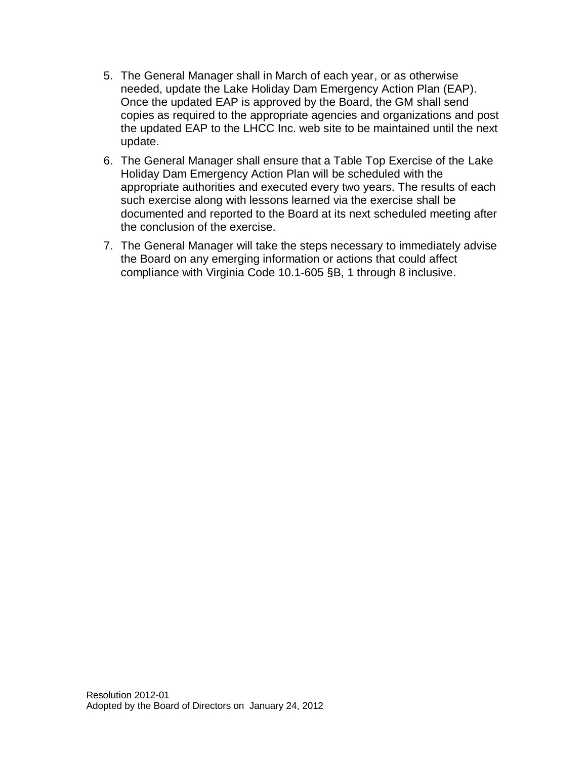- 5. The General Manager shall in March of each year, or as otherwise needed, update the Lake Holiday Dam Emergency Action Plan (EAP). Once the updated EAP is approved by the Board, the GM shall send copies as required to the appropriate agencies and organizations and post the updated EAP to the LHCC Inc. web site to be maintained until the next update.
- 6. The General Manager shall ensure that a Table Top Exercise of the Lake Holiday Dam Emergency Action Plan will be scheduled with the appropriate authorities and executed every two years. The results of each such exercise along with lessons learned via the exercise shall be documented and reported to the Board at its next scheduled meeting after the conclusion of the exercise.
- 7. The General Manager will take the steps necessary to immediately advise the Board on any emerging information or actions that could affect compliance with Virginia Code 10.1-605 §B, 1 through 8 inclusive.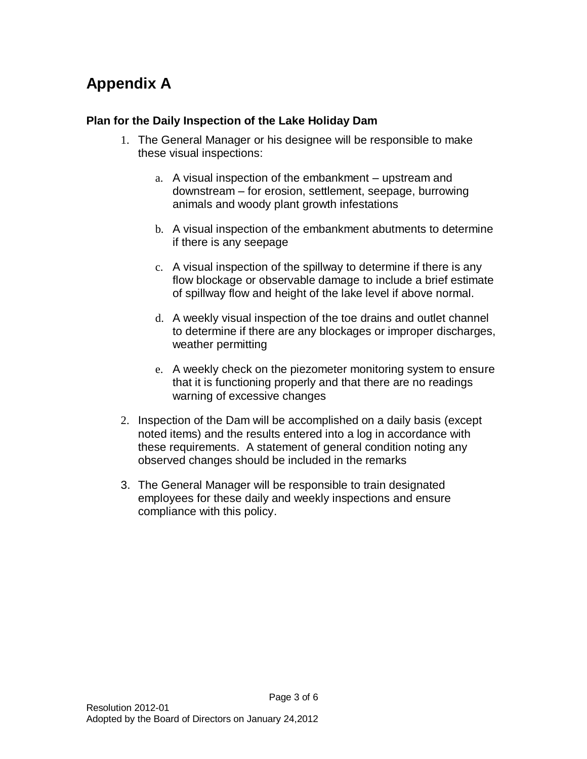# **Appendix A**

### **Plan for the Daily Inspection of the Lake Holiday Dam**

- 1. The General Manager or his designee will be responsible to make these visual inspections:
	- a. A visual inspection of the embankment upstream and downstream – for erosion, settlement, seepage, burrowing animals and woody plant growth infestations
	- b. A visual inspection of the embankment abutments to determine if there is any seepage
	- c. A visual inspection of the spillway to determine if there is any flow blockage or observable damage to include a brief estimate of spillway flow and height of the lake level if above normal.
	- d. A weekly visual inspection of the toe drains and outlet channel to determine if there are any blockages or improper discharges, weather permitting
	- e. A weekly check on the piezometer monitoring system to ensure that it is functioning properly and that there are no readings warning of excessive changes
- 2. Inspection of the Dam will be accomplished on a daily basis (except noted items) and the results entered into a log in accordance with these requirements. A statement of general condition noting any observed changes should be included in the remarks
- 3. The General Manager will be responsible to train designated employees for these daily and weekly inspections and ensure compliance with this policy.

Page 3 of 6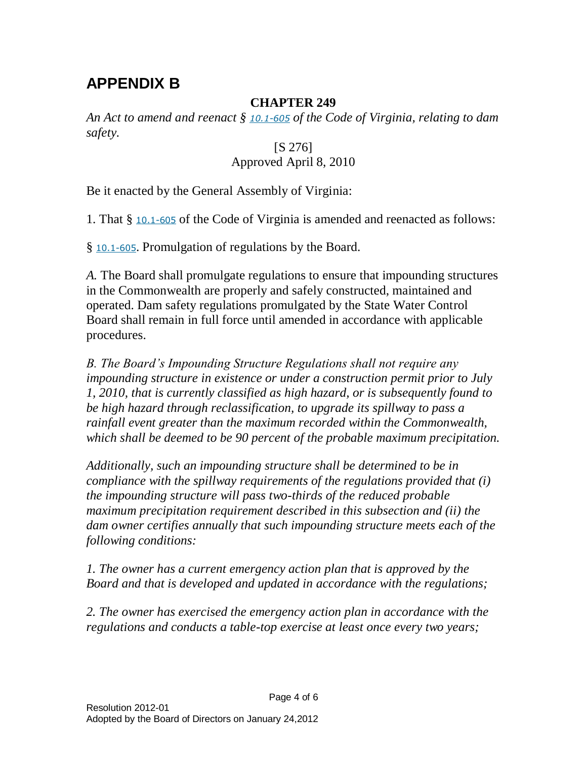# **APPENDIX B**

## **CHAPTER 249**

*An Act to amend and reenact § [10.1-605](http://leg1.state.va.us/cgi-bin/legp504.exe?000+cod+10.1-605) of the Code of Virginia, relating to dam safety.*

## [S 276]

## Approved April 8, 2010

Be it enacted by the General Assembly of Virginia:

1. That § [10.1-605](http://leg1.state.va.us/cgi-bin/legp504.exe?000+cod+10.1-605) of the Code of Virginia is amended and reenacted as follows:

§ [10.1-605](http://leg1.state.va.us/cgi-bin/legp504.exe?000+cod+10.1-605). Promulgation of regulations by the Board.

*A.* The Board shall promulgate regulations to ensure that impounding structures in the Commonwealth are properly and safely constructed, maintained and operated. Dam safety regulations promulgated by the State Water Control Board shall remain in full force until amended in accordance with applicable procedures.

*B. The Board's Impounding Structure Regulations shall not require any impounding structure in existence or under a construction permit prior to July 1, 2010, that is currently classified as high hazard, or is subsequently found to be high hazard through reclassification, to upgrade its spillway to pass a rainfall event greater than the maximum recorded within the Commonwealth, which shall be deemed to be 90 percent of the probable maximum precipitation.*

*Additionally, such an impounding structure shall be determined to be in compliance with the spillway requirements of the regulations provided that (i) the impounding structure will pass two-thirds of the reduced probable maximum precipitation requirement described in this subsection and (ii) the dam owner certifies annually that such impounding structure meets each of the following conditions:*

*1. The owner has a current emergency action plan that is approved by the Board and that is developed and updated in accordance with the regulations;*

*2. The owner has exercised the emergency action plan in accordance with the regulations and conducts a table-top exercise at least once every two years;*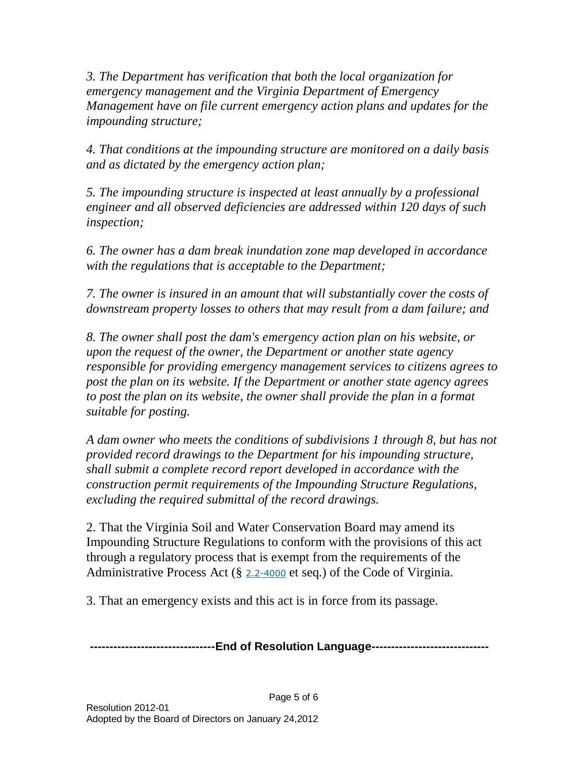*3. The Department has verification that both the local organization for emergency management and the Virginia Department of Emergency Management have on file current emergency action plans and updates for the impounding structure;*

*4. That conditions at the impounding structure are monitored on a daily basis and as dictated by the emergency action plan;*

*5. The impounding structure is inspected at least annually by a professional engineer and all observed deficiencies are addressed within 120 days of such inspection;*

*6. The owner has a dam break inundation zone map developed in accordance with the regulations that is acceptable to the Department;*

*7. The owner is insured in an amount that will substantially cover the costs of downstream property losses to others that may result from a dam failure; and*

*8. The owner shall post the dam's emergency action plan on his website, or upon the request of the owner, the Department or another state agency responsible for providing emergency management services to citizens agrees to post the plan on its website. If the Department or another state agency agrees*  to post the plan on its website, the owner shall provide the plan in a format *suitable for posting.*

*A dam owner who meets the conditions of subdivisions 1 through 8, but has not provided record drawings to the Department for his impounding structure, shall submit a complete record report developed in accordance with the construction permit requirements of the Impounding Structure Regulations, excluding the required submittal of the record drawings.*

2. That the Virginia Soil and Water Conservation Board may amend its Impounding Structure Regulations to conform with the provisions of this act through a regulatory process that is exempt from the requirements of the Administrative Process Act  $(\S$  [2.2-4000](http://leg1.state.va.us/cgi-bin/legp504.exe?000+cod+2.2-4000) et seq.) of the Code of Virginia.

3. That an emergency exists and this act is in force from its passage.

**--------------------------------End of Resolution Language------------------------------**